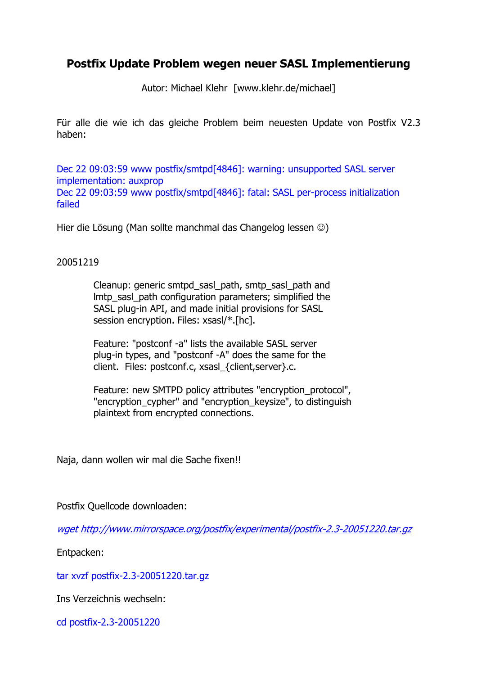## Postfix Update Problem wegen neuer SASL Implementierung

Autor: Michael Klehr [www.klehr.de/michael]

Für alle die wie ich das gleiche Problem beim neuesten Update von Postfix V2.3 haben:

Dec 22 09:03:59 www postfix/smtpd[4846]: warning: unsupported SASL server implementation: auxprop Dec 22 09:03:59 www postfix/smtpd[4846]: fatal: SASL per-process initialization failed

Hier die Lösung (Man sollte manchmal das Changelog lessen ☺)

## 20051219

 Cleanup: generic smtpd\_sasl\_path, smtp\_sasl\_path and lmtp\_sasl\_path configuration parameters; simplified the SASL plug-in API, and made initial provisions for SASL session encryption. Files: xsasl/\*.[hc].

 Feature: "postconf -a" lists the available SASL server plug-in types, and "postconf -A" does the same for the client. Files: postconf.c, xsasl\_{client,server}.c.

Feature: new SMTPD policy attributes "encryption\_protocol", "encryption\_cypher" and "encryption\_keysize", to distinguish plaintext from encrypted connections.

Naja, dann wollen wir mal die Sache fixen!!

Postfix Quellcode downloaden:

wget http://www.mirrorspace.org/postfix/experimental/postfix-2.3-20051220.tar.gz

Entpacken:

tar xvzf postfix-2.3-20051220.tar.gz

Ins Verzeichnis wechseln:

cd postfix-2.3-20051220